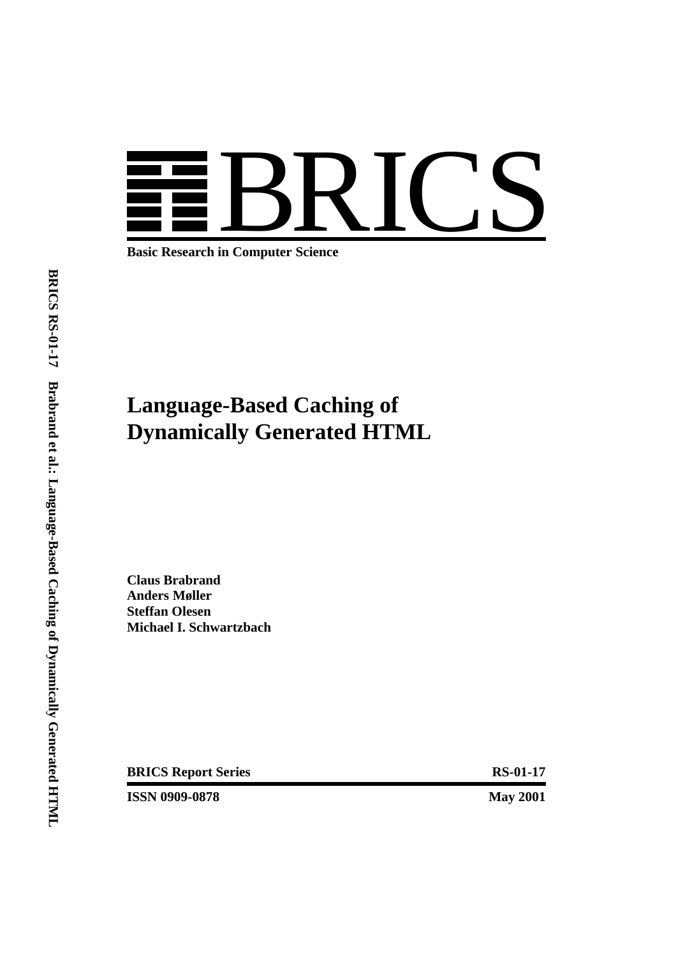

**Basic Research in Computer Science**

# **Language-Based Caching of Dynamically Generated HTML**

**Claus Brabrand Anders Møller Steffan Olesen Michael I. Schwartzbach**

**BRICS Report Series RS-01-17** 

**ISSN 0909-0878** May 2001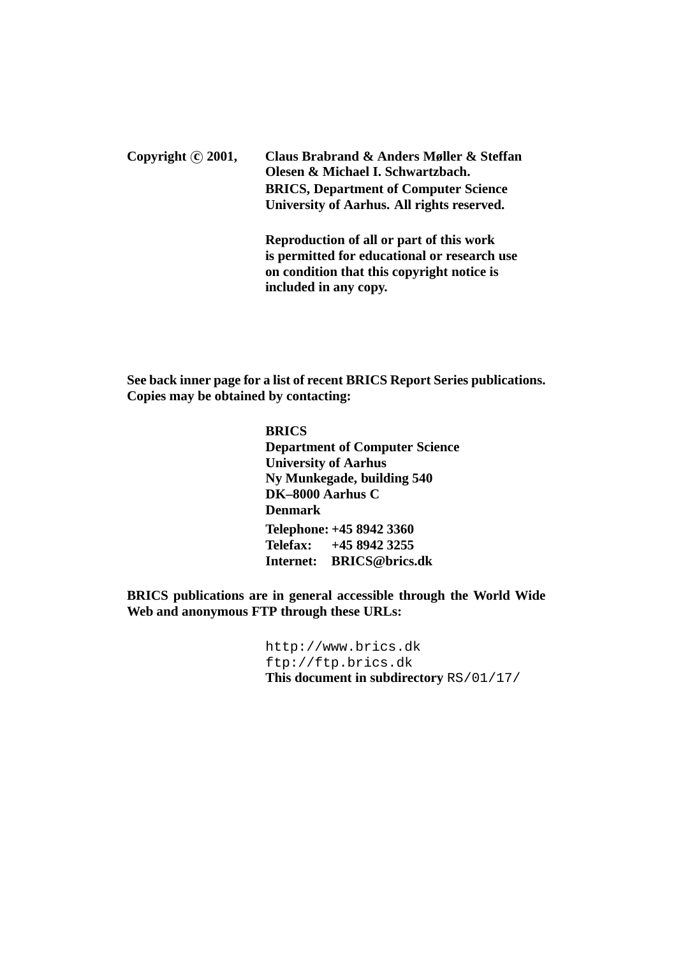**Copyright** © 2001, Claus Brabrand & Anders Møller & Steffan **Olesen & Michael I. Schwartzbach. BRICS, Department of Computer Science University of Aarhus. All rights reserved.**

> **Reproduction of all or part of this work is permitted for educational or research use on condition that this copyright notice is included in any copy.**

**See back inner page for a list of recent BRICS Report Series publications. Copies may be obtained by contacting:**

### **BRICS**

**Department of Computer Science University of Aarhus Ny Munkegade, building 540 DK–8000 Aarhus C Denmark Telephone: +45 8942 3360 Telefax: +45 8942 3255 Internet: BRICS@brics.dk**

**BRICS publications are in general accessible through the World Wide Web and anonymous FTP through these URLs:**

> http://www.brics.dk ftp://ftp.brics.dk **This document in subdirectory** RS/01/17/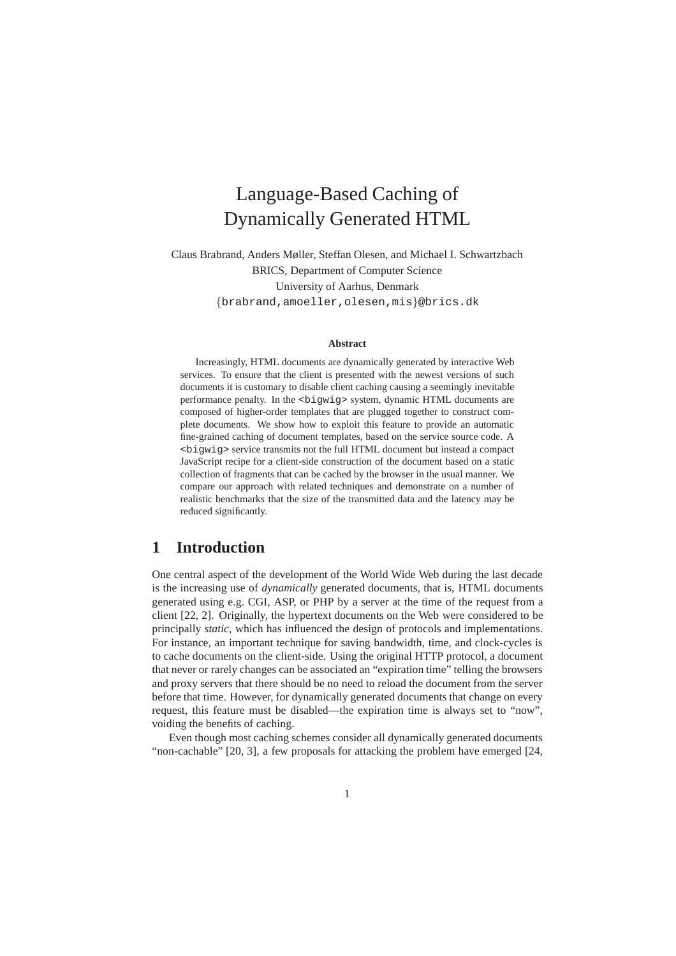## Language-Based Caching of Dynamically Generated HTML

Claus Brabrand, Anders Møller, Steffan Olesen, and Michael I. Schwartzbach BRICS, Department of Computer Science University of Aarhus, Denmark {brabrand,amoeller,olesen,mis}@brics.dk

#### **Abstract**

Increasingly, HTML documents are dynamically generated by interactive Web services. To ensure that the client is presented with the newest versions of such documents it is customary to disable client caching causing a seemingly inevitable performance penalty. In the <bigwig> system, dynamic HTML documents are composed of higher-order templates that are plugged together to construct complete documents. We show how to exploit this feature to provide an automatic fine-grained caching of document templates, based on the service source code. A <bigwig> service transmits not the full HTML document but instead a compact JavaScript recipe for a client-side construction of the document based on a static collection of fragments that can be cached by the browser in the usual manner. We compare our approach with related techniques and demonstrate on a number of realistic benchmarks that the size of the transmitted data and the latency may be reduced significantly.

## **1 Introduction**

One central aspect of the development of the World Wide Web during the last decade is the increasing use of *dynamically* generated documents, that is, HTML documents generated using e.g. CGI, ASP, or PHP by a server at the time of the request from a client [22, 2]. Originally, the hypertext documents on the Web were considered to be principally *static*, which has influenced the design of protocols and implementations. For instance, an important technique for saving bandwidth, time, and clock-cycles is to cache documents on the client-side. Using the original HTTP protocol, a document that never or rarely changes can be associated an "expiration time" telling the browsers and proxy servers that there should be no need to reload the document from the server before that time. However, for dynamically generated documents that change on every request, this feature must be disabled—the expiration time is always set to "now", voiding the benefits of caching.

Even though most caching schemes consider all dynamically generated documents "non-cachable" [20, 3], a few proposals for attacking the problem have emerged [24,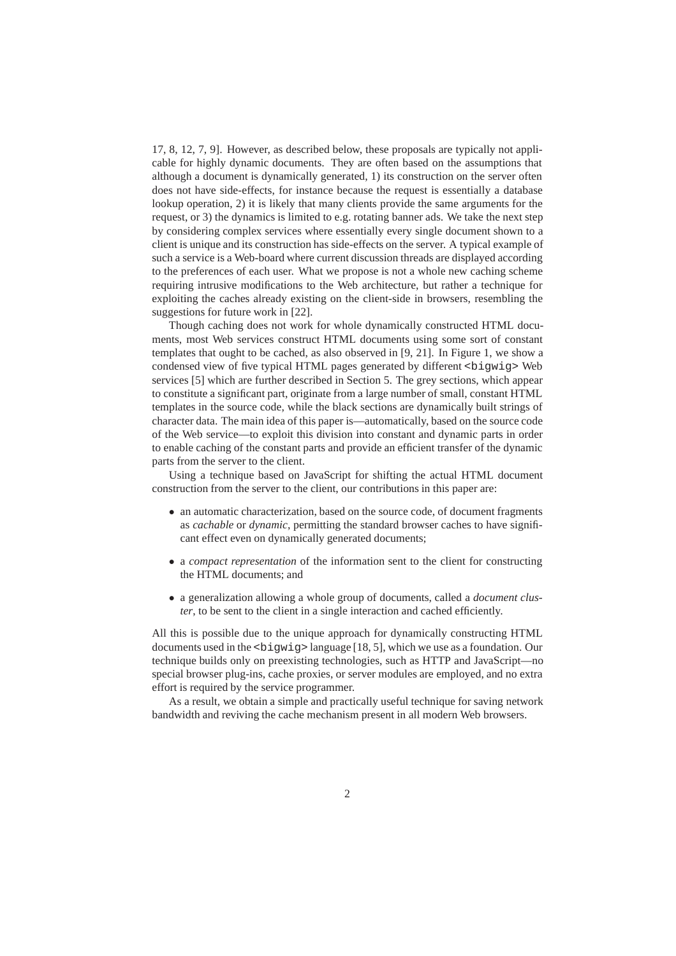17, 8, 12, 7, 9]. However, as described below, these proposals are typically not applicable for highly dynamic documents. They are often based on the assumptions that although a document is dynamically generated, 1) its construction on the server often does not have side-effects, for instance because the request is essentially a database lookup operation, 2) it is likely that many clients provide the same arguments for the request, or 3) the dynamics is limited to e.g. rotating banner ads. We take the next step by considering complex services where essentially every single document shown to a client is unique and its construction has side-effects on the server. A typical example of such a service is a Web-board where current discussion threads are displayed according to the preferences of each user. What we propose is not a whole new caching scheme requiring intrusive modifications to the Web architecture, but rather a technique for exploiting the caches already existing on the client-side in browsers, resembling the suggestions for future work in [22].

Though caching does not work for whole dynamically constructed HTML documents, most Web services construct HTML documents using some sort of constant templates that ought to be cached, as also observed in [9, 21]. In Figure 1, we show a condensed view of five typical HTML pages generated by different <bigwig> Web services [5] which are further described in Section 5. The grey sections, which appear to constitute a significant part, originate from a large number of small, constant HTML templates in the source code, while the black sections are dynamically built strings of character data. The main idea of this paper is—automatically, based on the source code of the Web service—to exploit this division into constant and dynamic parts in order to enable caching of the constant parts and provide an efficient transfer of the dynamic parts from the server to the client.

Using a technique based on JavaScript for shifting the actual HTML document construction from the server to the client, our contributions in this paper are:

- an automatic characterization, based on the source code, of document fragments as *cachable* or *dynamic*, permitting the standard browser caches to have significant effect even on dynamically generated documents;
- a *compact representation* of the information sent to the client for constructing the HTML documents; and
- a generalization allowing a whole group of documents, called a *document cluster*, to be sent to the client in a single interaction and cached efficiently.

All this is possible due to the unique approach for dynamically constructing HTML documents used in the  $\langle \text{bigwig} \rangle$  language [18, 5], which we use as a foundation. Our technique builds only on preexisting technologies, such as HTTP and JavaScript—no special browser plug-ins, cache proxies, or server modules are employed, and no extra effort is required by the service programmer.

As a result, we obtain a simple and practically useful technique for saving network bandwidth and reviving the cache mechanism present in all modern Web browsers.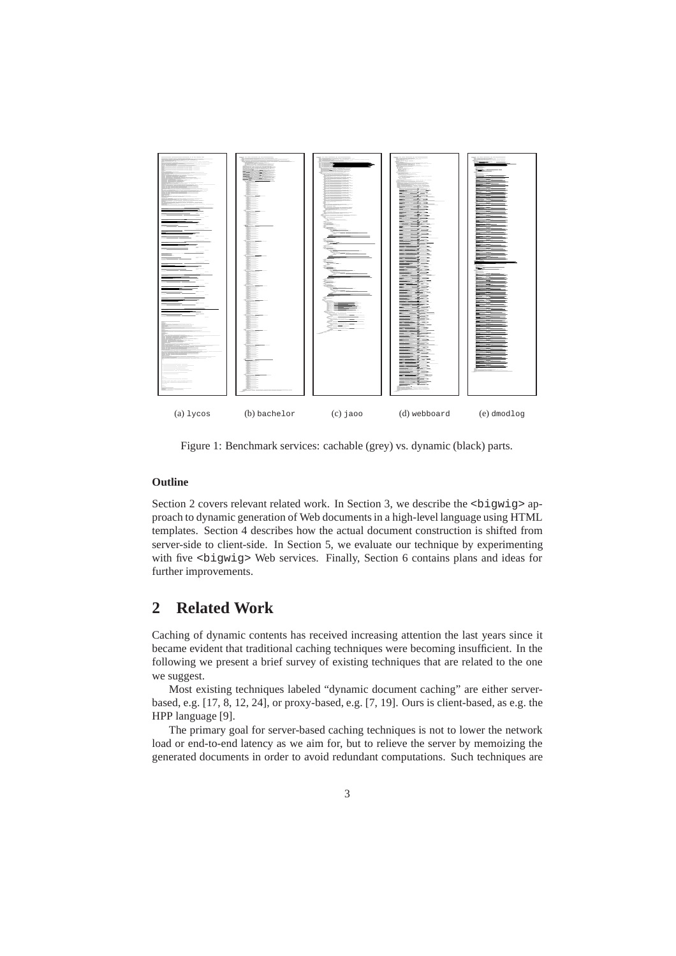

Figure 1: Benchmark services: cachable (grey) vs. dynamic (black) parts.

#### **Outline**

Section 2 covers relevant related work. In Section 3, we describe the  $\langle$ bigwig> approach to dynamic generation of Web documents in a high-level language using HTML templates. Section 4 describes how the actual document construction is shifted from server-side to client-side. In Section 5, we evaluate our technique by experimenting with five <br/>bigwig> Web services. Finally, Section 6 contains plans and ideas for further improvements.

## **2 Related Work**

Caching of dynamic contents has received increasing attention the last years since it became evident that traditional caching techniques were becoming insufficient. In the following we present a brief survey of existing techniques that are related to the one we suggest.

Most existing techniques labeled "dynamic document caching" are either serverbased, e.g. [17, 8, 12, 24], or proxy-based, e.g. [7, 19]. Ours is client-based, as e.g. the HPP language [9].

The primary goal for server-based caching techniques is not to lower the network load or end-to-end latency as we aim for, but to relieve the server by memoizing the generated documents in order to avoid redundant computations. Such techniques are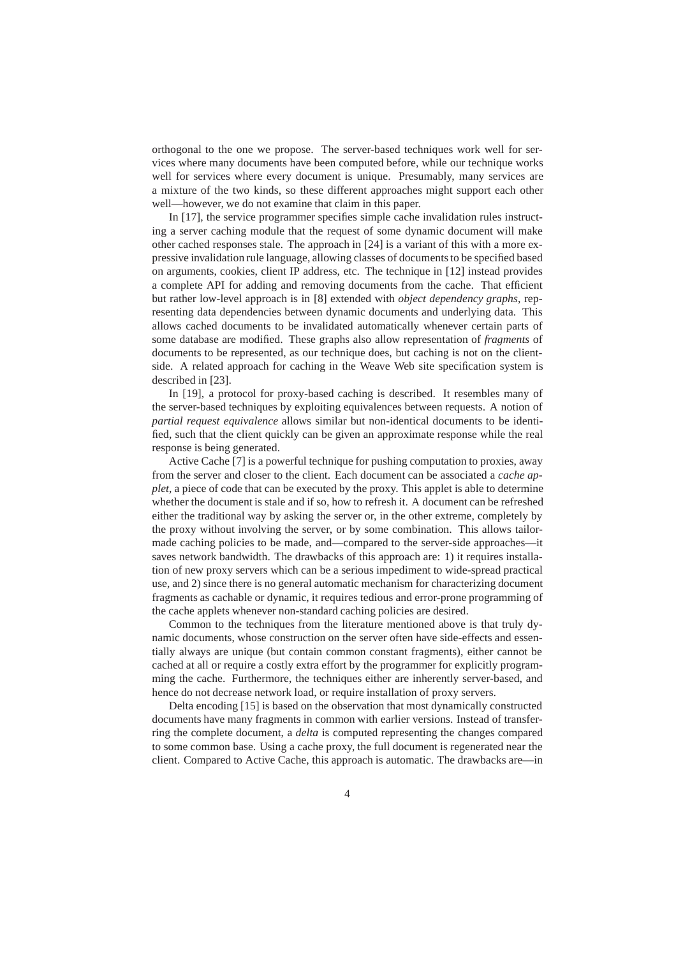orthogonal to the one we propose. The server-based techniques work well for services where many documents have been computed before, while our technique works well for services where every document is unique. Presumably, many services are a mixture of the two kinds, so these different approaches might support each other well—however, we do not examine that claim in this paper.

In [17], the service programmer specifies simple cache invalidation rules instructing a server caching module that the request of some dynamic document will make other cached responses stale. The approach in [24] is a variant of this with a more expressive invalidation rule language, allowing classes of documents to be specified based on arguments, cookies, client IP address, etc. The technique in [12] instead provides a complete API for adding and removing documents from the cache. That efficient but rather low-level approach is in [8] extended with *object dependency graphs*, representing data dependencies between dynamic documents and underlying data. This allows cached documents to be invalidated automatically whenever certain parts of some database are modified. These graphs also allow representation of *fragments* of documents to be represented, as our technique does, but caching is not on the clientside. A related approach for caching in the Weave Web site specification system is described in [23].

In [19], a protocol for proxy-based caching is described. It resembles many of the server-based techniques by exploiting equivalences between requests. A notion of *partial request equivalence* allows similar but non-identical documents to be identified, such that the client quickly can be given an approximate response while the real response is being generated.

Active Cache [7] is a powerful technique for pushing computation to proxies, away from the server and closer to the client. Each document can be associated a *cache applet*, a piece of code that can be executed by the proxy. This applet is able to determine whether the document is stale and if so, how to refresh it. A document can be refreshed either the traditional way by asking the server or, in the other extreme, completely by the proxy without involving the server, or by some combination. This allows tailormade caching policies to be made, and—compared to the server-side approaches—it saves network bandwidth. The drawbacks of this approach are: 1) it requires installation of new proxy servers which can be a serious impediment to wide-spread practical use, and 2) since there is no general automatic mechanism for characterizing document fragments as cachable or dynamic, it requires tedious and error-prone programming of the cache applets whenever non-standard caching policies are desired.

Common to the techniques from the literature mentioned above is that truly dynamic documents, whose construction on the server often have side-effects and essentially always are unique (but contain common constant fragments), either cannot be cached at all or require a costly extra effort by the programmer for explicitly programming the cache. Furthermore, the techniques either are inherently server-based, and hence do not decrease network load, or require installation of proxy servers.

Delta encoding [15] is based on the observation that most dynamically constructed documents have many fragments in common with earlier versions. Instead of transferring the complete document, a *delta* is computed representing the changes compared to some common base. Using a cache proxy, the full document is regenerated near the client. Compared to Active Cache, this approach is automatic. The drawbacks are—in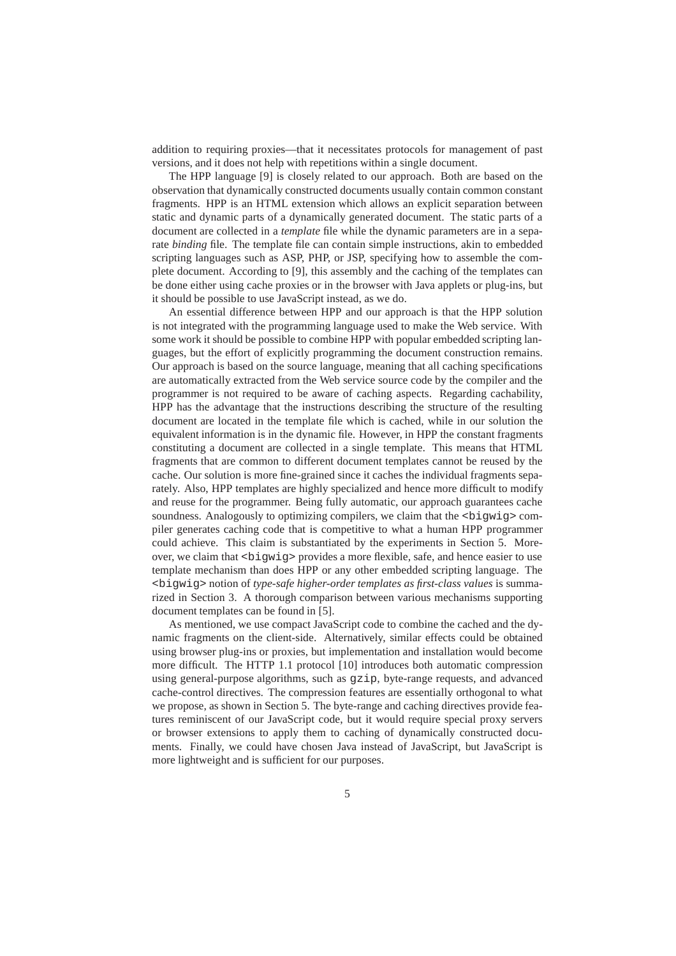addition to requiring proxies—that it necessitates protocols for management of past versions, and it does not help with repetitions within a single document.

The HPP language [9] is closely related to our approach. Both are based on the observation that dynamically constructed documents usually contain common constant fragments. HPP is an HTML extension which allows an explicit separation between static and dynamic parts of a dynamically generated document. The static parts of a document are collected in a *template* file while the dynamic parameters are in a separate *binding* file. The template file can contain simple instructions, akin to embedded scripting languages such as ASP, PHP, or JSP, specifying how to assemble the complete document. According to [9], this assembly and the caching of the templates can be done either using cache proxies or in the browser with Java applets or plug-ins, but it should be possible to use JavaScript instead, as we do.

An essential difference between HPP and our approach is that the HPP solution is not integrated with the programming language used to make the Web service. With some work it should be possible to combine HPP with popular embedded scripting languages, but the effort of explicitly programming the document construction remains. Our approach is based on the source language, meaning that all caching specifications are automatically extracted from the Web service source code by the compiler and the programmer is not required to be aware of caching aspects. Regarding cachability, HPP has the advantage that the instructions describing the structure of the resulting document are located in the template file which is cached, while in our solution the equivalent information is in the dynamic file. However, in HPP the constant fragments constituting a document are collected in a single template. This means that HTML fragments that are common to different document templates cannot be reused by the cache. Our solution is more fine-grained since it caches the individual fragments separately. Also, HPP templates are highly specialized and hence more difficult to modify and reuse for the programmer. Being fully automatic, our approach guarantees cache soundness. Analogously to optimizing compilers, we claim that the  $\langle \text{bigweight} \rangle$  compiler generates caching code that is competitive to what a human HPP programmer could achieve. This claim is substantiated by the experiments in Section 5. Moreover, we claim that  $\langle \text{big} \rangle$  provides a more flexible, safe, and hence easier to use template mechanism than does HPP or any other embedded scripting language. The <bigwig> notion of *type-safe higher-order templates as first-class values* is summarized in Section 3. A thorough comparison between various mechanisms supporting document templates can be found in [5].

As mentioned, we use compact JavaScript code to combine the cached and the dynamic fragments on the client-side. Alternatively, similar effects could be obtained using browser plug-ins or proxies, but implementation and installation would become more difficult. The HTTP 1.1 protocol [10] introduces both automatic compression using general-purpose algorithms, such as gzip, byte-range requests, and advanced cache-control directives. The compression features are essentially orthogonal to what we propose, as shown in Section 5. The byte-range and caching directives provide features reminiscent of our JavaScript code, but it would require special proxy servers or browser extensions to apply them to caching of dynamically constructed documents. Finally, we could have chosen Java instead of JavaScript, but JavaScript is more lightweight and is sufficient for our purposes.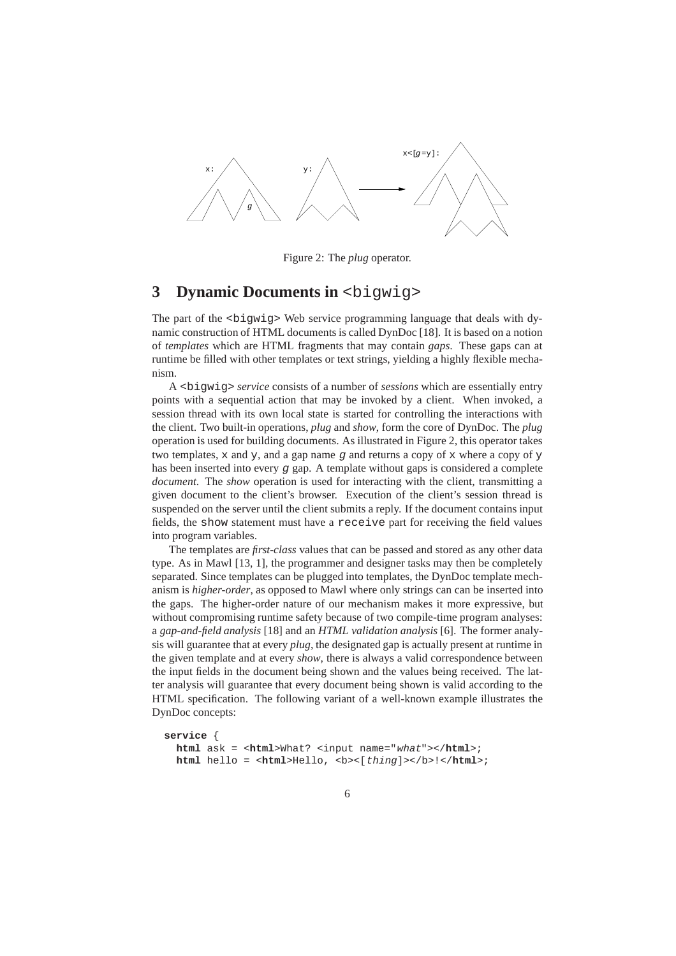

Figure 2: The *plug* operator.

## **3** Dynamic Documents in <br/>bigwig>

The part of the  $\langle$ bigwig> Web service programming language that deals with dynamic construction of HTML documents is called DynDoc [18]. It is based on a notion of *templates* which are HTML fragments that may contain *gaps*. These gaps can at runtime be filled with other templates or text strings, yielding a highly flexible mechanism.

A <bigwig> *service* consists of a number of *sessions* which are essentially entry points with a sequential action that may be invoked by a client. When invoked, a session thread with its own local state is started for controlling the interactions with the client. Two built-in operations, *plug* and *show*, form the core of DynDoc. The *plug* operation is used for building documents. As illustrated in Figure 2, this operator takes two templates,  $x$  and  $y$ , and a gap name  $g$  and returns a copy of  $x$  where a copy of  $y$ has been inserted into every  $q$  gap. A template without gaps is considered a complete *document*. The *show* operation is used for interacting with the client, transmitting a given document to the client's browser. Execution of the client's session thread is suspended on the server until the client submits a reply. If the document contains input fields, the show statement must have a receive part for receiving the field values into program variables.

The templates are *first-class* values that can be passed and stored as any other data type. As in Mawl [13, 1], the programmer and designer tasks may then be completely separated. Since templates can be plugged into templates, the DynDoc template mechanism is *higher-order*, as opposed to Mawl where only strings can can be inserted into the gaps. The higher-order nature of our mechanism makes it more expressive, but without compromising runtime safety because of two compile-time program analyses: a *gap-and-field analysis* [18] and an *HTML validation analysis* [6]. The former analysis will guarantee that at every *plug*, the designated gap is actually present at runtime in the given template and at every *show*, there is always a valid correspondence between the input fields in the document being shown and the values being received. The latter analysis will guarantee that every document being shown is valid according to the HTML specification. The following variant of a well-known example illustrates the DynDoc concepts:

```
service {
  html ask = <html>What? <input name="what"></html>;
  html hello = <html>Hello, <b><{thing]></b> !</html>;
```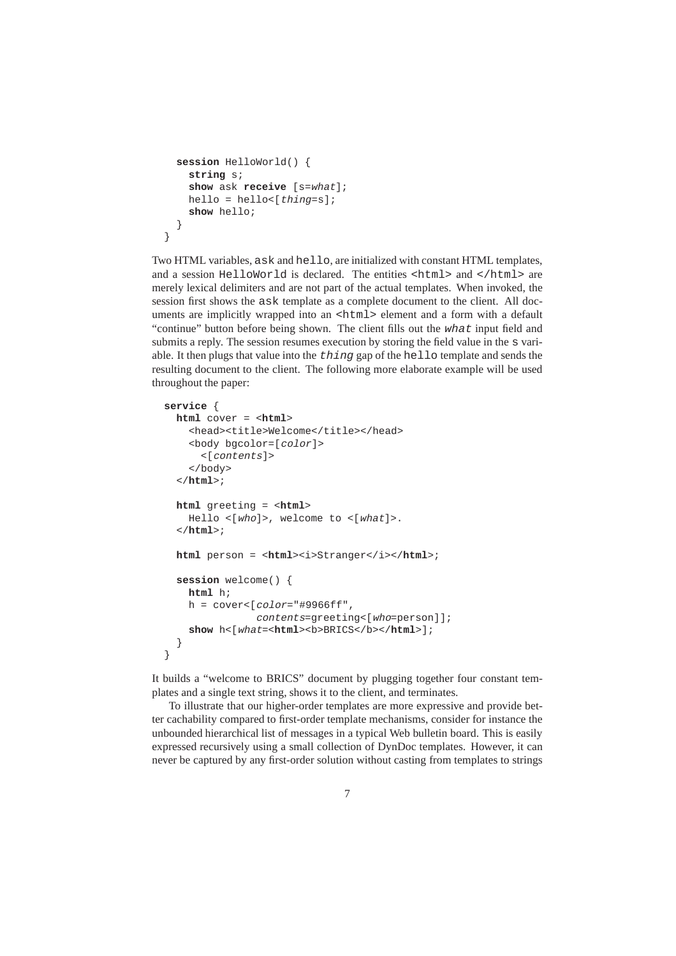```
session HelloWorld() {
    string s;
    show ask receive [s=what];
   hello = hello([thing=s];show hello;
  }
}
```
Two HTML variables, ask and hello, are initialized with constant HTML templates, and a session HelloWorld is declared. The entities <html> and </html> are merely lexical delimiters and are not part of the actual templates. When invoked, the session first shows the ask template as a complete document to the client. All documents are implicitly wrapped into an  $\text{thm} > \text{element}$  and a form with a default "continue" button before being shown. The client fills out the what input field and submits a reply. The session resumes execution by storing the field value in the s variable. It then plugs that value into the thing gap of the hello template and sends the resulting document to the client. The following more elaborate example will be used throughout the paper:

```
service {
 html cover = <html>
    <head><title>Welcome</title></head>
    <body bgcolor=[color]>
      <[contents]>
    </body>
  </html>;
 html greeting = <html>
   Hello <[who]>, welcome to <[what]>.
  </html>;
 html person = <html><i>Stranger</i></html>;
  session welcome() {
    html h;
    h = cover < [color="+49966ff",]contents=greeting<[who=person]];
    show h<[what = <html>>>b>BRICS</b></html>];
  }
}
```
It builds a "welcome to BRICS" document by plugging together four constant templates and a single text string, shows it to the client, and terminates.

To illustrate that our higher-order templates are more expressive and provide better cachability compared to first-order template mechanisms, consider for instance the unbounded hierarchical list of messages in a typical Web bulletin board. This is easily expressed recursively using a small collection of DynDoc templates. However, it can never be captured by any first-order solution without casting from templates to strings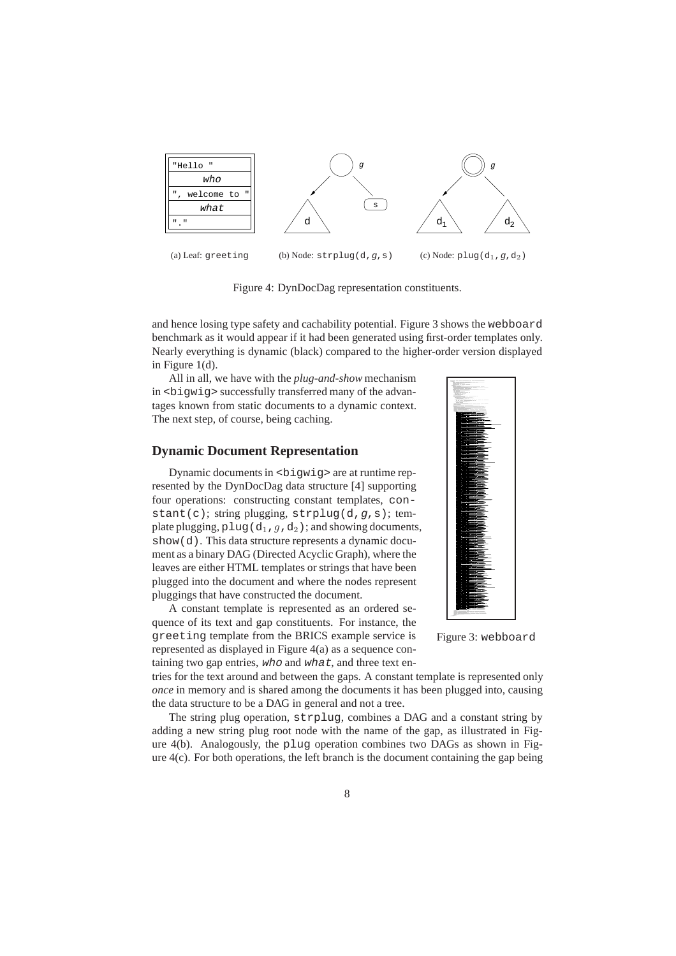

Figure 4: DynDocDag representation constituents.

and hence losing type safety and cachability potential. Figure 3 shows the webboard benchmark as it would appear if it had been generated using first-order templates only. Nearly everything is dynamic (black) compared to the higher-order version displayed in Figure 1(d).

All in all, we have with the *plug-and-show* mechanism in <br/>biqwiq> successfully transferred many of the advantages known from static documents to a dynamic context. The next step, of course, being caching.

#### **Dynamic Document Representation**

Dynamic documents in <br/> > bigwig> are at runtime represented by the DynDocDag data structure [4] supporting four operations: constructing constant templates, constant(c); string plugging, strplug(d,  $g$ , s); template plugging,  $p \log(d_1, g, d_2)$ ; and showing documents, show(d). This data structure represents a dynamic document as a binary DAG (Directed Acyclic Graph), where the leaves are either HTML templates or strings that have been plugged into the document and where the nodes represent pluggings that have constructed the document.

A constant template is represented as an ordered sequence of its text and gap constituents. For instance, the greeting template from the BRICS example service is represented as displayed in Figure 4(a) as a sequence containing two gap entries, who and what, and three text en-



Figure 3: webboard

tries for the text around and between the gaps. A constant template is represented only *once* in memory and is shared among the documents it has been plugged into, causing the data structure to be a DAG in general and not a tree.

The string plug operation, strplug, combines a DAG and a constant string by adding a new string plug root node with the name of the gap, as illustrated in Figure 4(b). Analogously, the plug operation combines two DAGs as shown in Figure  $4(c)$ . For both operations, the left branch is the document containing the gap being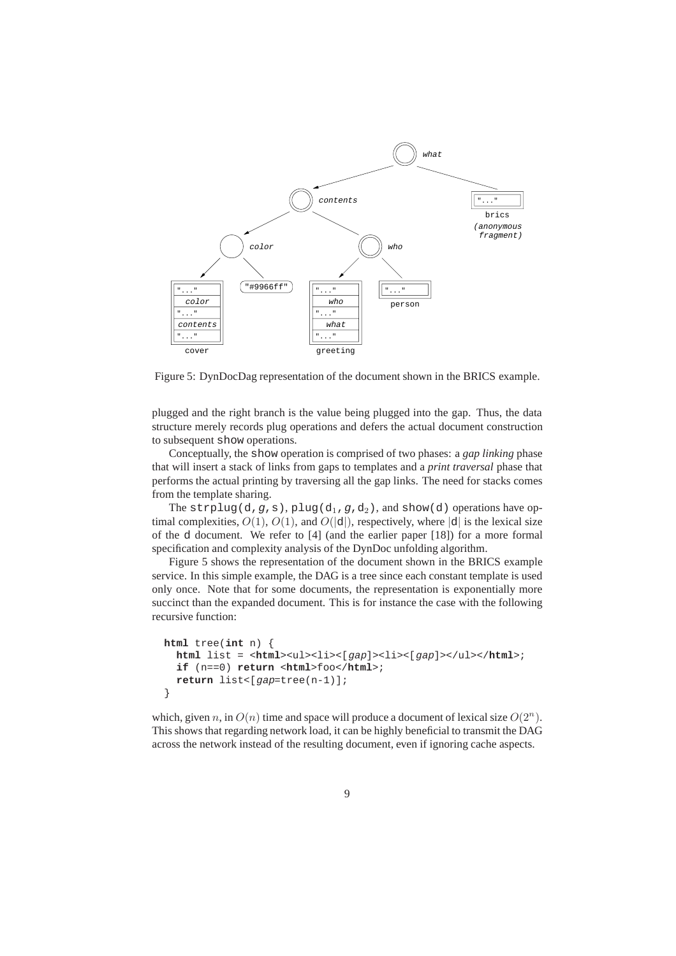

Figure 5: DynDocDag representation of the document shown in the BRICS example.

plugged and the right branch is the value being plugged into the gap. Thus, the data structure merely records plug operations and defers the actual document construction to subsequent show operations.

Conceptually, the show operation is comprised of two phases: a *gap linking* phase that will insert a stack of links from gaps to templates and a *print traversal* phase that performs the actual printing by traversing all the gap links. The need for stacks comes from the template sharing.

The strplug(d,g,s), plug(d<sub>1</sub>,g,d<sub>2</sub>), and show(d) operations have optimal complexities,  $O(1)$ ,  $O(1)$ , and  $O(|d|)$ , respectively, where |d| is the lexical size of the d document. We refer to [4] (and the earlier paper [18]) for a more formal specification and complexity analysis of the DynDoc unfolding algorithm.

Figure 5 shows the representation of the document shown in the BRICS example service. In this simple example, the DAG is a tree since each constant template is used only once. Note that for some documents, the representation is exponentially more succinct than the expanded document. This is for instance the case with the following recursive function:

```
html tree(int n) {
  html list = <html><ul><li><[gap]><li><[gap]></ul></html>;
  if (n==0) return <html>foo</html>;
  return list<[gap=tree(n-1)];
}
```
which, given n, in  $O(n)$  time and space will produce a document of lexical size  $O(2<sup>n</sup>)$ . This shows that regarding network load, it can be highly beneficial to transmit the DAG across the network instead of the resulting document, even if ignoring cache aspects.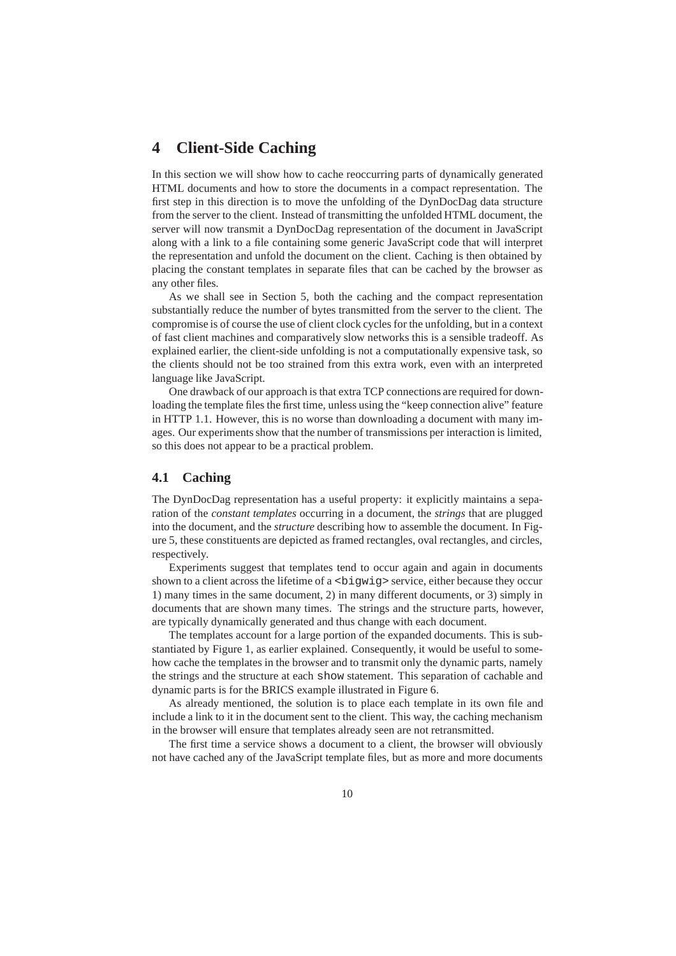## **4 Client-Side Caching**

In this section we will show how to cache reoccurring parts of dynamically generated HTML documents and how to store the documents in a compact representation. The first step in this direction is to move the unfolding of the DynDocDag data structure from the server to the client. Instead of transmitting the unfolded HTML document, the server will now transmit a DynDocDag representation of the document in JavaScript along with a link to a file containing some generic JavaScript code that will interpret the representation and unfold the document on the client. Caching is then obtained by placing the constant templates in separate files that can be cached by the browser as any other files.

As we shall see in Section 5, both the caching and the compact representation substantially reduce the number of bytes transmitted from the server to the client. The compromise is of course the use of client clock cycles for the unfolding, but in a context of fast client machines and comparatively slow networks this is a sensible tradeoff. As explained earlier, the client-side unfolding is not a computationally expensive task, so the clients should not be too strained from this extra work, even with an interpreted language like JavaScript.

One drawback of our approach is that extra TCP connections are required for downloading the template files the first time, unless using the "keep connection alive" feature in HTTP 1.1. However, this is no worse than downloading a document with many images. Our experiments show that the number of transmissions per interaction is limited, so this does not appear to be a practical problem.

#### **4.1 Caching**

The DynDocDag representation has a useful property: it explicitly maintains a separation of the *constant templates* occurring in a document, the *strings* that are plugged into the document, and the *structure* describing how to assemble the document. In Figure 5, these constituents are depicted as framed rectangles, oval rectangles, and circles, respectively.

Experiments suggest that templates tend to occur again and again in documents shown to a client across the lifetime of a <br/>bigwig> service, either because they occur 1) many times in the same document, 2) in many different documents, or 3) simply in documents that are shown many times. The strings and the structure parts, however, are typically dynamically generated and thus change with each document.

The templates account for a large portion of the expanded documents. This is substantiated by Figure 1, as earlier explained. Consequently, it would be useful to somehow cache the templates in the browser and to transmit only the dynamic parts, namely the strings and the structure at each show statement. This separation of cachable and dynamic parts is for the BRICS example illustrated in Figure 6.

As already mentioned, the solution is to place each template in its own file and include a link to it in the document sent to the client. This way, the caching mechanism in the browser will ensure that templates already seen are not retransmitted.

The first time a service shows a document to a client, the browser will obviously not have cached any of the JavaScript template files, but as more and more documents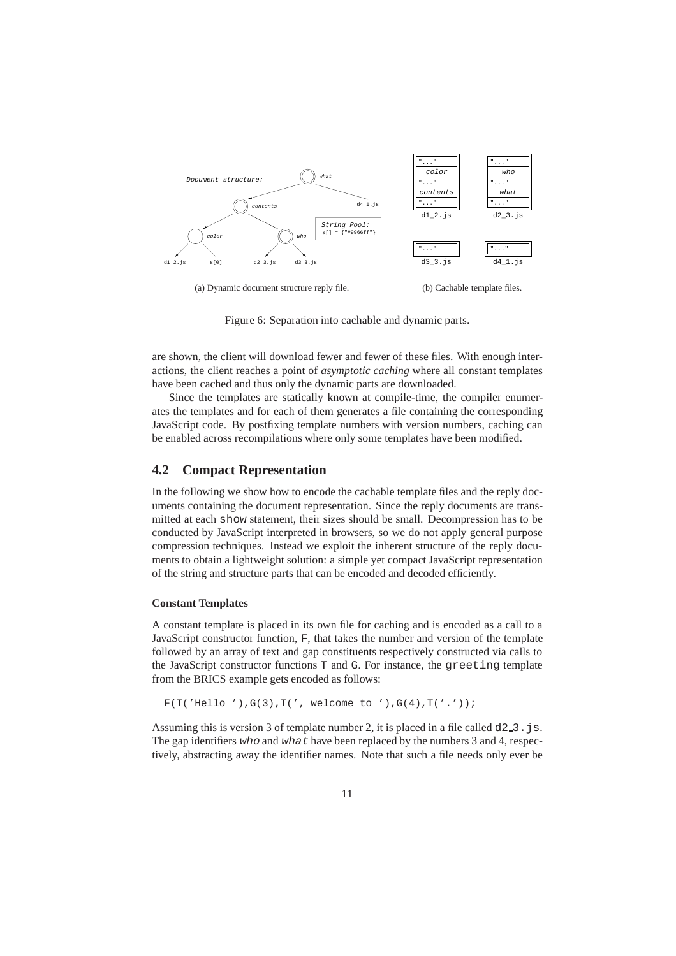

Figure 6: Separation into cachable and dynamic parts.

are shown, the client will download fewer and fewer of these files. With enough interactions, the client reaches a point of *asymptotic caching* where all constant templates have been cached and thus only the dynamic parts are downloaded.

Since the templates are statically known at compile-time, the compiler enumerates the templates and for each of them generates a file containing the corresponding JavaScript code. By postfixing template numbers with version numbers, caching can be enabled across recompilations where only some templates have been modified.

#### **4.2 Compact Representation**

In the following we show how to encode the cachable template files and the reply documents containing the document representation. Since the reply documents are transmitted at each show statement, their sizes should be small. Decompression has to be conducted by JavaScript interpreted in browsers, so we do not apply general purpose compression techniques. Instead we exploit the inherent structure of the reply documents to obtain a lightweight solution: a simple yet compact JavaScript representation of the string and structure parts that can be encoded and decoded efficiently.

#### **Constant Templates**

A constant template is placed in its own file for caching and is encoded as a call to a JavaScript constructor function, F, that takes the number and version of the template followed by an array of text and gap constituents respectively constructed via calls to the JavaScript constructor functions T and G. For instance, the greeting template from the BRICS example gets encoded as follows:

 $F(T('Hello '), G(3), T(', welcome to '), G(4), T('.'));$ 

Assuming this is version 3 of template number 2, it is placed in a file called  $d2_3$ . js. The gap identifiers who and what have been replaced by the numbers 3 and 4, respectively, abstracting away the identifier names. Note that such a file needs only ever be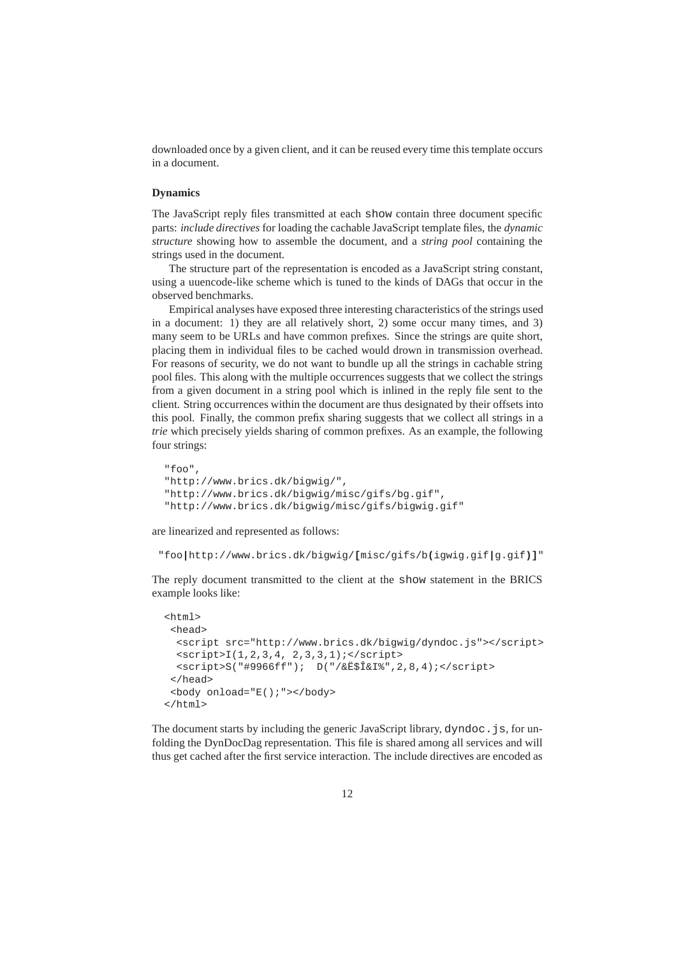downloaded once by a given client, and it can be reused every time this template occurs in a document.

#### **Dynamics**

The JavaScript reply files transmitted at each show contain three document specific parts: *include directives* for loading the cachable JavaScript template files, the *dynamic structure* showing how to assemble the document, and a *string pool* containing the strings used in the document.

The structure part of the representation is encoded as a JavaScript string constant, using a uuencode-like scheme which is tuned to the kinds of DAGs that occur in the observed benchmarks.

Empirical analyses have exposed three interesting characteristics of the strings used in a document: 1) they are all relatively short, 2) some occur many times, and 3) many seem to be URLs and have common prefixes. Since the strings are quite short, placing them in individual files to be cached would drown in transmission overhead. For reasons of security, we do not want to bundle up all the strings in cachable string pool files. This along with the multiple occurrences suggests that we collect the strings from a given document in a string pool which is inlined in the reply file sent to the client. String occurrences within the document are thus designated by their offsets into this pool. Finally, the common prefix sharing suggests that we collect all strings in a *trie* which precisely yields sharing of common prefixes. As an example, the following four strings:

```
"foo",
"http://www.brics.dk/bigwig/",
"http://www.brics.dk/bigwig/misc/gifs/bg.gif",
"http://www.brics.dk/bigwig/misc/gifs/bigwig.gif"
```
are linearized and represented as follows:

```
"foo|http://www.brics.dk/bigwig/[misc/gifs/b(igwig.gif|g.gif)]"
```
The reply document transmitted to the client at the show statement in the BRICS example looks like:

```
<html>
 <head>
 <script src="http://www.brics.dk/bigwig/dyndoc.js"></script>
 sscript>I(1,2,3,4, 2,3,3,1);</script>
 <script>S("#9966ff"); D("/&Ë$Î&I%", 2, 8, 4);</script>
 </head>
<body onload="E();"></body>
\langle/html>
```
The document starts by including the generic JavaScript library,  $dyndoc$ , js, for unfolding the DynDocDag representation. This file is shared among all services and will thus get cached after the first service interaction. The include directives are encoded as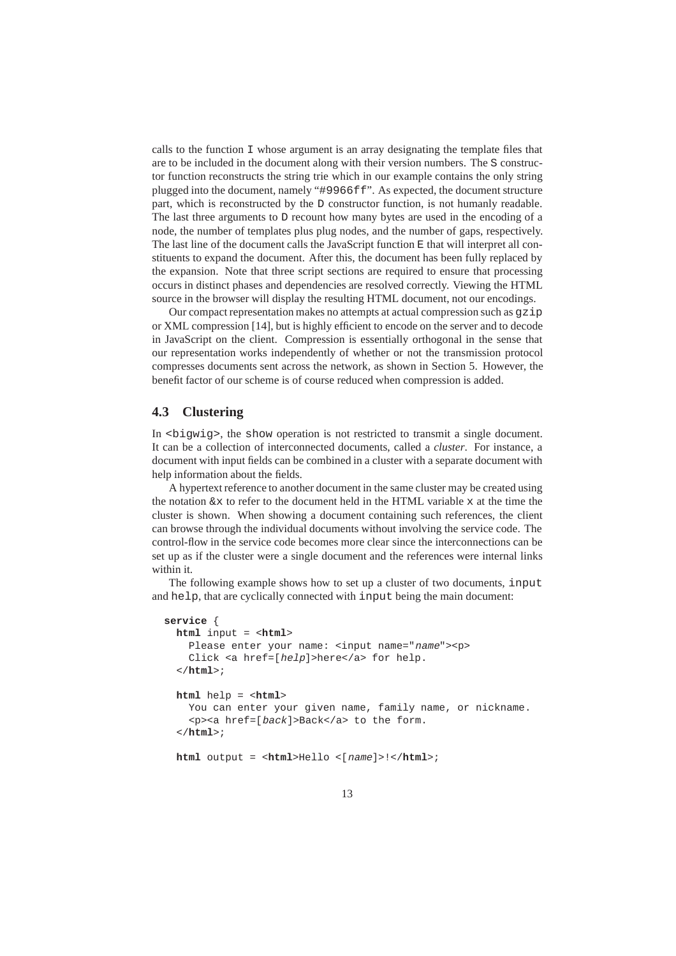calls to the function  $I$  whose argument is an array designating the template files that are to be included in the document along with their version numbers. The S constructor function reconstructs the string trie which in our example contains the only string plugged into the document, namely "#9966ff". As expected, the document structure part, which is reconstructed by the D constructor function, is not humanly readable. The last three arguments to D recount how many bytes are used in the encoding of a node, the number of templates plus plug nodes, and the number of gaps, respectively. The last line of the document calls the JavaScript function E that will interpret all constituents to expand the document. After this, the document has been fully replaced by the expansion. Note that three script sections are required to ensure that processing occurs in distinct phases and dependencies are resolved correctly. Viewing the HTML source in the browser will display the resulting HTML document, not our encodings.

Our compact representation makes no attempts at actual compression such as  $qz$  ip or XML compression [14], but is highly efficient to encode on the server and to decode in JavaScript on the client. Compression is essentially orthogonal in the sense that our representation works independently of whether or not the transmission protocol compresses documents sent across the network, as shown in Section 5. However, the benefit factor of our scheme is of course reduced when compression is added.

#### **4.3 Clustering**

In  $\langle$ bigwig>, the show operation is not restricted to transmit a single document. It can be a collection of interconnected documents, called a *cluster*. For instance, a document with input fields can be combined in a cluster with a separate document with help information about the fields.

A hypertext reference to another document in the same cluster may be created using the notation  $\&x$  to refer to the document held in the HTML variable x at the time the cluster is shown. When showing a document containing such references, the client can browse through the individual documents without involving the service code. The control-flow in the service code becomes more clear since the interconnections can be set up as if the cluster were a single document and the references were internal links within it.

The following example shows how to set up a cluster of two documents, input and help, that are cyclically connected with input being the main document:

```
service {
  html input = <html>
    Please enter your name: <input name="name"><p>
    Click <a href=[help]>here</a> for help.
  </html>;
  html help = <html>
    You can enter your given name, family name, or nickname.
    <p><a href=[back]>Back</a> to the form.
  </html>;
  html output = <html>Hello <[name]>!</html>;
```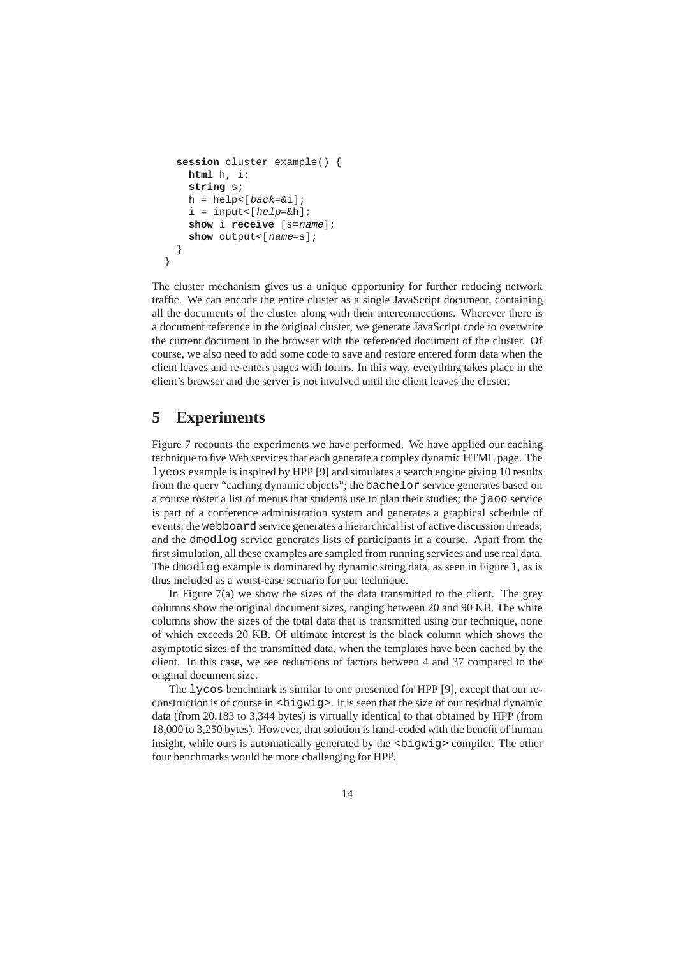```
session cluster_example() {
    html h, i;
    string s;
    h = help < [back = & i];i = input <[help = \&h];show i receive [s=name];
    show output<[name=s];
  }
}
```
The cluster mechanism gives us a unique opportunity for further reducing network traffic. We can encode the entire cluster as a single JavaScript document, containing all the documents of the cluster along with their interconnections. Wherever there is a document reference in the original cluster, we generate JavaScript code to overwrite the current document in the browser with the referenced document of the cluster. Of course, we also need to add some code to save and restore entered form data when the client leaves and re-enters pages with forms. In this way, everything takes place in the client's browser and the server is not involved until the client leaves the cluster.

## **5 Experiments**

Figure 7 recounts the experiments we have performed. We have applied our caching technique to five Web services that each generate a complex dynamic HTML page. The lycos example is inspired by HPP [9] and simulates a search engine giving 10 results from the query "caching dynamic objects"; the bachelor service generates based on a course roster a list of menus that students use to plan their studies; the jaoo service is part of a conference administration system and generates a graphical schedule of events; the webboard service generates a hierarchical list of active discussion threads; and the dmodlog service generates lists of participants in a course. Apart from the first simulation, all these examples are sampled from running services and use real data. The dmodlog example is dominated by dynamic string data, as seen in Figure 1, as is thus included as a worst-case scenario for our technique.

In Figure  $7(a)$  we show the sizes of the data transmitted to the client. The grey columns show the original document sizes, ranging between 20 and 90 KB. The white columns show the sizes of the total data that is transmitted using our technique, none of which exceeds 20 KB. Of ultimate interest is the black column which shows the asymptotic sizes of the transmitted data, when the templates have been cached by the client. In this case, we see reductions of factors between 4 and 37 compared to the original document size.

The lycos benchmark is similar to one presented for HPP [9], except that our reconstruction is of course in  $\langle$ bigwig $\rangle$ . It is seen that the size of our residual dynamic data (from 20,183 to 3,344 bytes) is virtually identical to that obtained by HPP (from 18,000 to 3,250 bytes). However, that solution is hand-coded with the benefit of human insight, while ours is automatically generated by the <br/>bigwig> compiler. The other four benchmarks would be more challenging for HPP.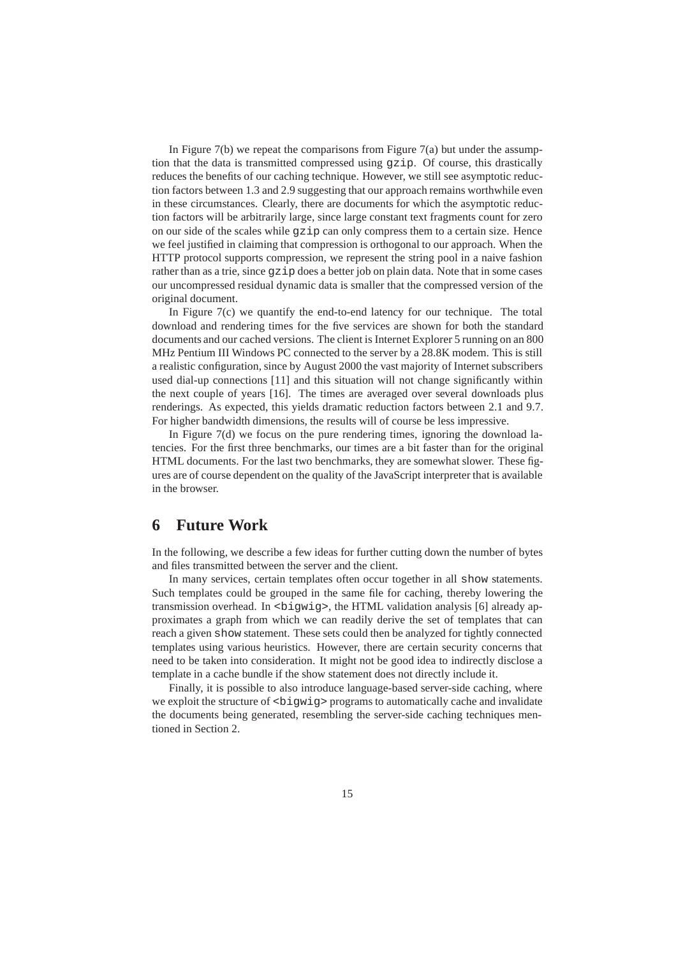In Figure  $7(b)$  we repeat the comparisons from Figure  $7(a)$  but under the assumption that the data is transmitted compressed using gzip. Of course, this drastically reduces the benefits of our caching technique. However, we still see asymptotic reduction factors between 1.3 and 2.9 suggesting that our approach remains worthwhile even in these circumstances. Clearly, there are documents for which the asymptotic reduction factors will be arbitrarily large, since large constant text fragments count for zero on our side of the scales while  $qz$  ip can only compress them to a certain size. Hence we feel justified in claiming that compression is orthogonal to our approach. When the HTTP protocol supports compression, we represent the string pool in a naive fashion rather than as a trie, since gzip does a better job on plain data. Note that in some cases our uncompressed residual dynamic data is smaller that the compressed version of the original document.

In Figure 7(c) we quantify the end-to-end latency for our technique. The total download and rendering times for the five services are shown for both the standard documents and our cached versions. The client is Internet Explorer 5 running on an 800 MHz Pentium III Windows PC connected to the server by a 28.8K modem. This is still a realistic configuration, since by August 2000 the vast majority of Internet subscribers used dial-up connections [11] and this situation will not change significantly within the next couple of years [16]. The times are averaged over several downloads plus renderings. As expected, this yields dramatic reduction factors between 2.1 and 9.7. For higher bandwidth dimensions, the results will of course be less impressive.

In Figure  $7(d)$  we focus on the pure rendering times, ignoring the download latencies. For the first three benchmarks, our times are a bit faster than for the original HTML documents. For the last two benchmarks, they are somewhat slower. These figures are of course dependent on the quality of the JavaScript interpreter that is available in the browser.

## **6 Future Work**

In the following, we describe a few ideas for further cutting down the number of bytes and files transmitted between the server and the client.

In many services, certain templates often occur together in all show statements. Such templates could be grouped in the same file for caching, thereby lowering the transmission overhead. In <br/>bigwig>, the HTML validation analysis [6] already approximates a graph from which we can readily derive the set of templates that can reach a given show statement. These sets could then be analyzed for tightly connected templates using various heuristics. However, there are certain security concerns that need to be taken into consideration. It might not be good idea to indirectly disclose a template in a cache bundle if the show statement does not directly include it.

Finally, it is possible to also introduce language-based server-side caching, where we exploit the structure of <br/>bigwig> programs to automatically cache and invalidate the documents being generated, resembling the server-side caching techniques mentioned in Section 2.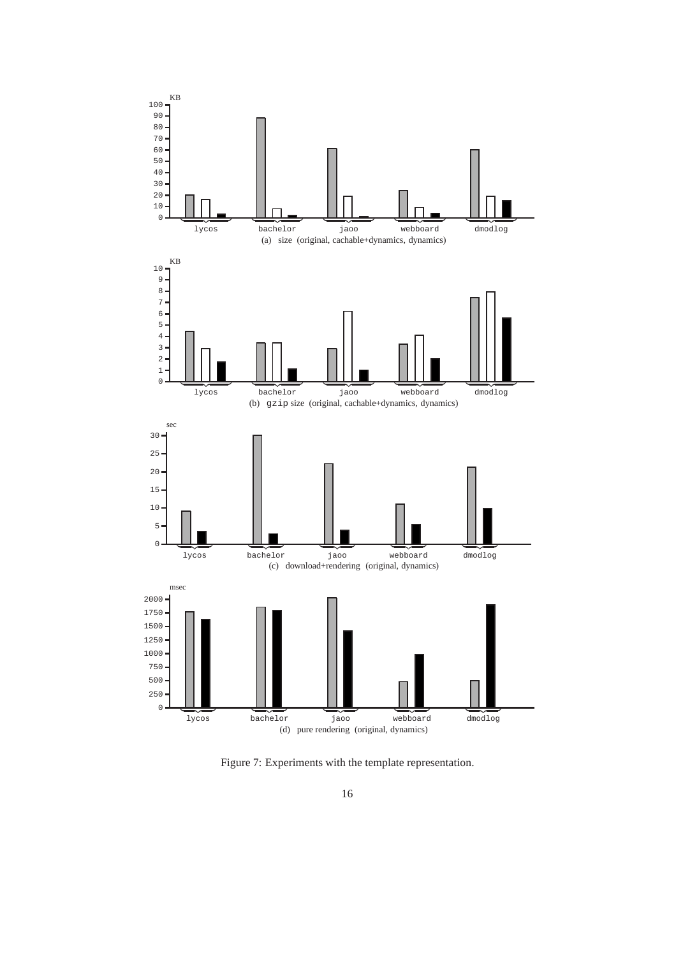

Figure 7: Experiments with the template representation.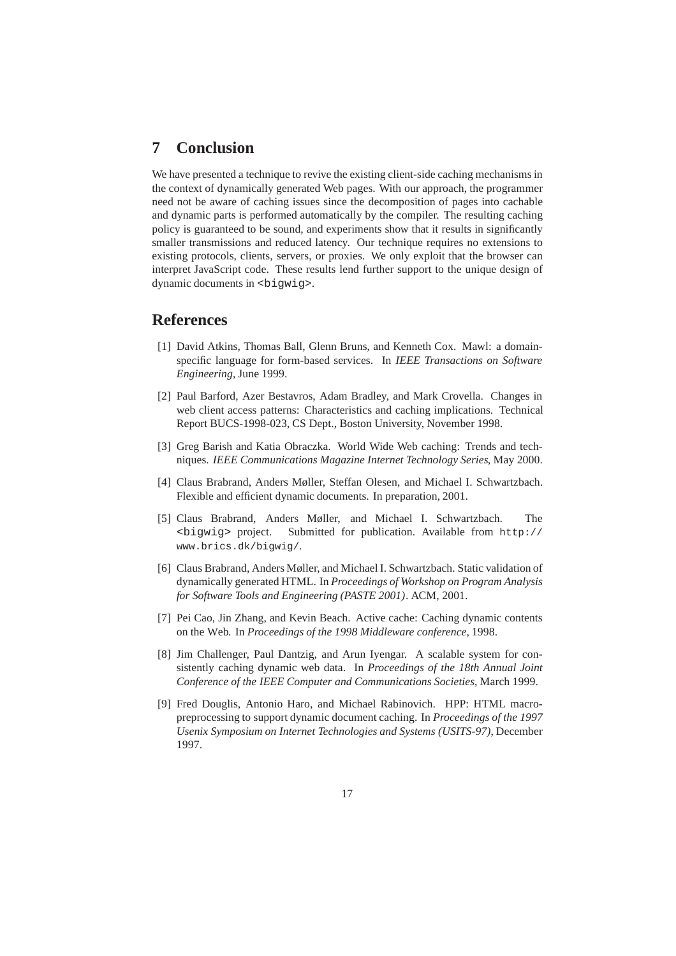## **7 Conclusion**

We have presented a technique to revive the existing client-side caching mechanisms in the context of dynamically generated Web pages. With our approach, the programmer need not be aware of caching issues since the decomposition of pages into cachable and dynamic parts is performed automatically by the compiler. The resulting caching policy is guaranteed to be sound, and experiments show that it results in significantly smaller transmissions and reduced latency. Our technique requires no extensions to existing protocols, clients, servers, or proxies. We only exploit that the browser can interpret JavaScript code. These results lend further support to the unique design of dynamic documents in <br/> <br/>biqwiq>.

## **References**

- [1] David Atkins, Thomas Ball, Glenn Bruns, and Kenneth Cox. Mawl: a domainspecific language for form-based services. In *IEEE Transactions on Software Engineering*, June 1999.
- [2] Paul Barford, Azer Bestavros, Adam Bradley, and Mark Crovella. Changes in web client access patterns: Characteristics and caching implications. Technical Report BUCS-1998-023, CS Dept., Boston University, November 1998.
- [3] Greg Barish and Katia Obraczka. World Wide Web caching: Trends and techniques. *IEEE Communications Magazine Internet Technology Series*, May 2000.
- [4] Claus Brabrand, Anders Møller, Steffan Olesen, and Michael I. Schwartzbach. Flexible and efficient dynamic documents. In preparation, 2001.
- [5] Claus Brabrand, Anders Møller, and Michael I. Schwartzbach. The <bigwig> project. Submitted for publication. Available from http:// www.brics.dk/bigwig/.
- [6] Claus Brabrand, Anders Møller, and Michael I. Schwartzbach. Static validation of dynamically generated HTML. In *Proceedings of Workshop on Program Analysis for Software Tools and Engineering (PASTE 2001)*. ACM, 2001.
- [7] Pei Cao, Jin Zhang, and Kevin Beach. Active cache: Caching dynamic contents on the Web. In *Proceedings of the 1998 Middleware conference*, 1998.
- [8] Jim Challenger, Paul Dantzig, and Arun Iyengar. A scalable system for consistently caching dynamic web data. In *Proceedings of the 18th Annual Joint Conference of the IEEE Computer and Communications Societies*, March 1999.
- [9] Fred Douglis, Antonio Haro, and Michael Rabinovich. HPP: HTML macropreprocessing to support dynamic document caching. In *Proceedings of the 1997 Usenix Symposium on Internet Technologies and Systems (USITS-97)*, December 1997.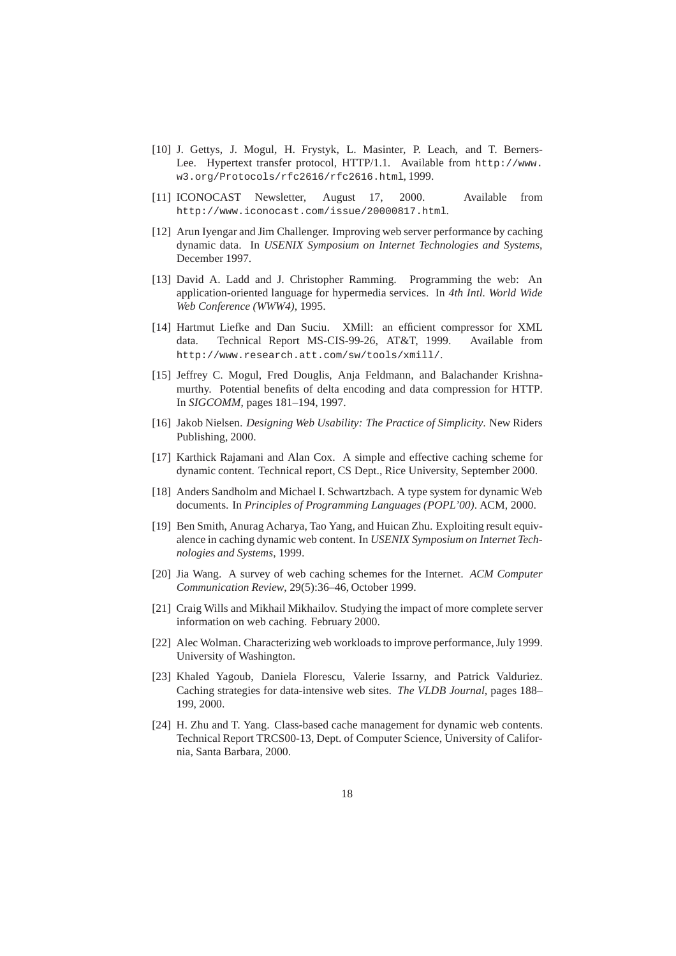- [10] J. Gettys, J. Mogul, H. Frystyk, L. Masinter, P. Leach, and T. Berners-Lee. Hypertext transfer protocol, HTTP/1.1. Available from http://www. w3.org/Protocols/rfc2616/rfc2616.html, 1999.
- [11] ICONOCAST Newsletter, August 17, 2000. Available from http://www.iconocast.com/issue/20000817.html.
- [12] Arun Iyengar and Jim Challenger. Improving web server performance by caching dynamic data. In *USENIX Symposium on Internet Technologies and Systems*, December 1997.
- [13] David A. Ladd and J. Christopher Ramming. Programming the web: An application-oriented language for hypermedia services. In *4th Intl. World Wide Web Conference (WWW4)*, 1995.
- [14] Hartmut Liefke and Dan Suciu. XMill: an efficient compressor for XML data. Technical Report MS-CIS-99-26, AT&T, 1999. Available from http://www.research.att.com/sw/tools/xmill/.
- [15] Jeffrey C. Mogul, Fred Douglis, Anja Feldmann, and Balachander Krishnamurthy. Potential benefits of delta encoding and data compression for HTTP. In *SIGCOMM*, pages 181–194, 1997.
- [16] Jakob Nielsen. *Designing Web Usability: The Practice of Simplicity*. New Riders Publishing, 2000.
- [17] Karthick Rajamani and Alan Cox. A simple and effective caching scheme for dynamic content. Technical report, CS Dept., Rice University, September 2000.
- [18] Anders Sandholm and Michael I. Schwartzbach. A type system for dynamic Web documents. In *Principles of Programming Languages (POPL'00)*. ACM, 2000.
- [19] Ben Smith, Anurag Acharya, Tao Yang, and Huican Zhu. Exploiting result equivalence in caching dynamic web content. In *USENIX Symposium on Internet Technologies and Systems*, 1999.
- [20] Jia Wang. A survey of web caching schemes for the Internet. *ACM Computer Communication Review*, 29(5):36–46, October 1999.
- [21] Craig Wills and Mikhail Mikhailov. Studying the impact of more complete server information on web caching. February 2000.
- [22] Alec Wolman. Characterizing web workloads to improve performance, July 1999. University of Washington.
- [23] Khaled Yagoub, Daniela Florescu, Valerie Issarny, and Patrick Valduriez. Caching strategies for data-intensive web sites. *The VLDB Journal*, pages 188– 199, 2000.
- [24] H. Zhu and T. Yang. Class-based cache management for dynamic web contents. Technical Report TRCS00-13, Dept. of Computer Science, University of California, Santa Barbara, 2000.